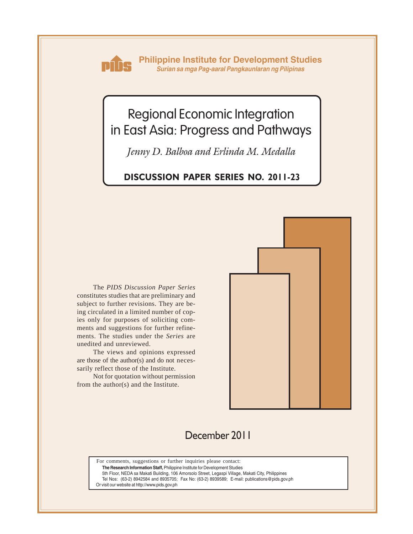

**Philippine Institute for Development Studies** *Surian sa mga Pag-aaral Pangkaunlaran ng Pilipinas*

# Regional Economic Integration in East Asia: Progress and Pathways

*Jenny D. Balboa and Erlinda M. Medalla*

# **DISCUSSION PAPER SERIES NO. 2011-23**

The *PIDS Discussion Paper Series* constitutes studies that are preliminary and subject to further revisions. They are being circulated in a limited number of copies only for purposes of soliciting comments and suggestions for further refinements. The studies under the *Series* are unedited and unreviewed.

The views and opinions expressed are those of the author(s) and do not necessarily reflect those of the Institute.

Not for quotation without permission from the author(s) and the Institute.



# December 2011

For comments, suggestions or further inquiries please contact:

**The Research Information Staff,** Philippine Institute for Development Studies

5th Floor, NEDA sa Makati Building, 106 Amorsolo Street, Legaspi Village, Makati City, Philippines

Tel Nos: (63-2) 8942584 and 8935705; Fax No: (63-2) 8939589; E-mail: publications@pids.gov.ph

Or visit our website at http://www.pids.gov.ph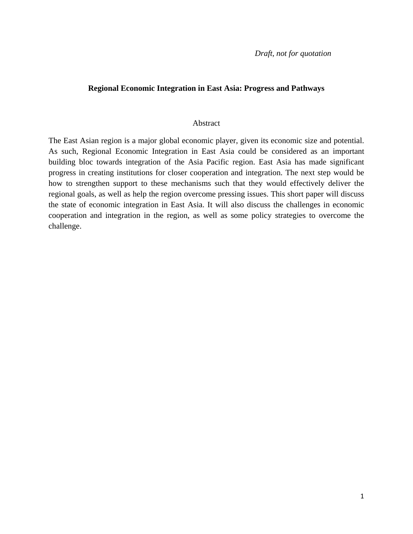*Draft, not for quotation* 

#### **Regional Economic Integration in East Asia: Progress and Pathways**

#### Abstract

The East Asian region is a major global economic player, given its economic size and potential. As such, Regional Economic Integration in East Asia could be considered as an important building bloc towards integration of the Asia Pacific region. East Asia has made significant progress in creating institutions for closer cooperation and integration. The next step would be how to strengthen support to these mechanisms such that they would effectively deliver the regional goals, as well as help the region overcome pressing issues. This short paper will discuss the state of economic integration in East Asia. It will also discuss the challenges in economic cooperation and integration in the region, as well as some policy strategies to overcome the challenge.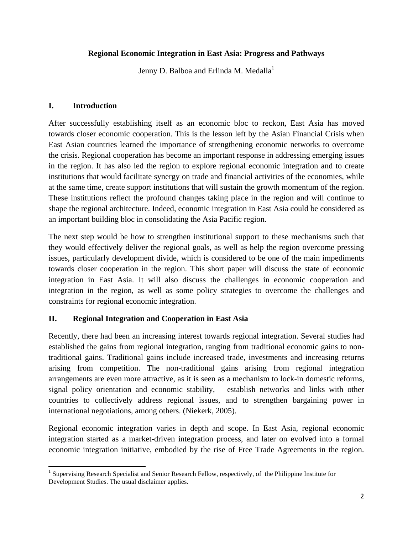#### **Regional Economic Integration in East Asia: Progress and Pathways**

Jenny D. Balboa and Erlinda M. Medalla<sup>1</sup>

#### **I. Introduction**

 $\overline{a}$ 

After successfully establishing itself as an economic bloc to reckon, East Asia has moved towards closer economic cooperation. This is the lesson left by the Asian Financial Crisis when East Asian countries learned the importance of strengthening economic networks to overcome the crisis. Regional cooperation has become an important response in addressing emerging issues in the region. It has also led the region to explore regional economic integration and to create institutions that would facilitate synergy on trade and financial activities of the economies, while at the same time, create support institutions that will sustain the growth momentum of the region. These institutions reflect the profound changes taking place in the region and will continue to shape the regional architecture. Indeed, economic integration in East Asia could be considered as an important building bloc in consolidating the Asia Pacific region.

The next step would be how to strengthen institutional support to these mechanisms such that they would effectively deliver the regional goals, as well as help the region overcome pressing issues, particularly development divide, which is considered to be one of the main impediments towards closer cooperation in the region. This short paper will discuss the state of economic integration in East Asia. It will also discuss the challenges in economic cooperation and integration in the region, as well as some policy strategies to overcome the challenges and constraints for regional economic integration.

## **II. Regional Integration and Cooperation in East Asia**

Recently, there had been an increasing interest towards regional integration. Several studies had established the gains from regional integration, ranging from traditional economic gains to nontraditional gains. Traditional gains include increased trade, investments and increasing returns arising from competition. The non-traditional gains arising from regional integration arrangements are even more attractive, as it is seen as a mechanism to lock-in domestic reforms, signal policy orientation and economic stability, establish networks and links with other countries to collectively address regional issues, and to strengthen bargaining power in international negotiations, among others. (Niekerk, 2005).

Regional economic integration varies in depth and scope. In East Asia, regional economic integration started as a market-driven integration process, and later on evolved into a formal economic integration initiative, embodied by the rise of Free Trade Agreements in the region.

<sup>&</sup>lt;sup>1</sup> Supervising Research Specialist and Senior Research Fellow, respectively, of the Philippine Institute for Development Studies. The usual disclaimer applies.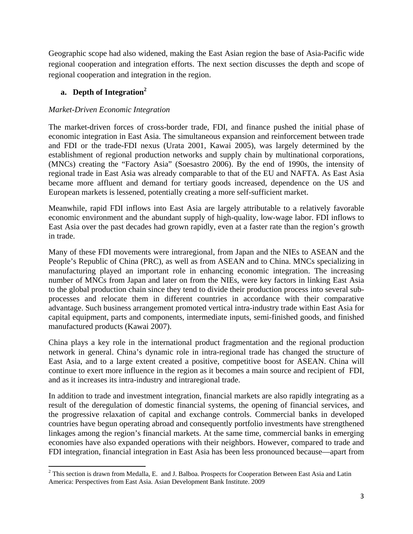Geographic scope had also widened, making the East Asian region the base of Asia-Pacific wide regional cooperation and integration efforts. The next section discusses the depth and scope of regional cooperation and integration in the region.

# **a. Depth of Integration<sup>2</sup>**

 $\overline{a}$ 

#### *Market-Driven Economic Integration*

The market-driven forces of cross-border trade, FDI, and finance pushed the initial phase of economic integration in East Asia. The simultaneous expansion and reinforcement between trade and FDI or the trade-FDI nexus (Urata 2001, Kawai 2005), was largely determined by the establishment of regional production networks and supply chain by multinational corporations, (MNCs) creating the "Factory Asia" (Soesastro 2006). By the end of 1990s, the intensity of regional trade in East Asia was already comparable to that of the EU and NAFTA. As East Asia became more affluent and demand for tertiary goods increased, dependence on the US and European markets is lessened, potentially creating a more self-sufficient market.

Meanwhile, rapid FDI inflows into East Asia are largely attributable to a relatively favorable economic environment and the abundant supply of high-quality, low-wage labor. FDI inflows to East Asia over the past decades had grown rapidly, even at a faster rate than the region's growth in trade.

Many of these FDI movements were intraregional, from Japan and the NIEs to ASEAN and the People's Republic of China (PRC), as well as from ASEAN and to China. MNCs specializing in manufacturing played an important role in enhancing economic integration. The increasing number of MNCs from Japan and later on from the NIEs, were key factors in linking East Asia to the global production chain since they tend to divide their production process into several subprocesses and relocate them in different countries in accordance with their comparative advantage. Such business arrangement promoted vertical intra-industry trade within East Asia for capital equipment, parts and components, intermediate inputs, semi-finished goods, and finished manufactured products (Kawai 2007).

China plays a key role in the international product fragmentation and the regional production network in general. China's dynamic role in intra-regional trade has changed the structure of East Asia, and to a large extent created a positive, competitive boost for ASEAN. China will continue to exert more influence in the region as it becomes a main source and recipient of FDI, and as it increases its intra-industry and intraregional trade.

In addition to trade and investment integration, financial markets are also rapidly integrating as a result of the deregulation of domestic financial systems, the opening of financial services, and the progressive relaxation of capital and exchange controls. Commercial banks in developed countries have begun operating abroad and consequently portfolio investments have strengthened linkages among the region's financial markets. At the same time, commercial banks in emerging economies have also expanded operations with their neighbors. However, compared to trade and FDI integration, financial integration in East Asia has been less pronounced because—apart from

 $2$  This section is drawn from Medalla, E. and J. Balboa. Prospects for Cooperation Between East Asia and Latin America: Perspectives from East Asia. Asian Development Bank Institute. 2009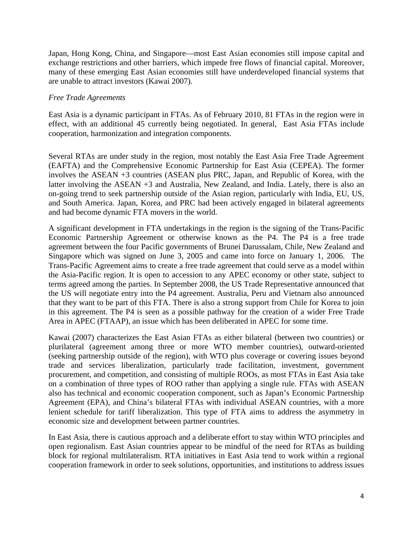Japan, Hong Kong, China, and Singapore—most East Asian economies still impose capital and exchange restrictions and other barriers, which impede free flows of financial capital. Moreover, many of these emerging East Asian economies still have underdeveloped financial systems that are unable to attract investors (Kawai 2007).

#### *Free Trade Agreements*

East Asia is a dynamic participant in FTAs. As of February 2010, 81 FTAs in the region were in effect, with an additional 45 currently being negotiated. In general, East Asia FTAs include cooperation, harmonization and integration components.

Several RTAs are under study in the region, most notably the East Asia Free Trade Agreement (EAFTA) and the Comprehensive Economic Partnership for East Asia (CEPEA). The former involves the ASEAN +3 countries (ASEAN plus PRC, Japan, and Republic of Korea, with the latter involving the ASEAN +3 and Australia, New Zealand, and India. Lately, there is also an on-going trend to seek partnership outside of the Asian region, particularly with India, EU, US, and South America. Japan, Korea, and PRC had been actively engaged in bilateral agreements and had become dynamic FTA movers in the world.

A significant development in FTA undertakings in the region is the signing of the Trans-Pacific Economic Partnership Agreement or otherwise known as the P4. The P4 is a free trade agreement between the four Pacific governments of Brunei Darussalam, Chile, New Zealand and Singapore which was signed on June 3, 2005 and came into force on January 1, 2006. The Trans-Pacific Agreement aims to create a free trade agreement that could serve as a model within the Asia-Pacific region. It is open to accession to any APEC economy or other state, subject to terms agreed among the parties. In September 2008, the US Trade Representative announced that the US will negotiate entry into the P4 agreement. Australia, Peru and Vietnam also announced that they want to be part of this FTA. There is also a strong support from Chile for Korea to join in this agreement. The P4 is seen as a possible pathway for the creation of a wider Free Trade Area in APEC (FTAAP), an issue which has been deliberated in APEC for some time.

Kawai (2007) characterizes the East Asian FTAs as either bilateral (between two countries) or plurilateral (agreement among three or more WTO member countries), outward-oriented (seeking partnership outside of the region), with WTO plus coverage or covering issues beyond trade and services liberalization, particularly trade facilitation, investment, government procurement, and competition, and consisting of multiple ROOs, as most FTAs in East Asia take on a combination of three types of ROO rather than applying a single rule. FTAs with ASEAN also has technical and economic cooperation component, such as Japan's Economic Partnership Agreement (EPA), and China's bilateral FTAs with individual ASEAN countries, with a more lenient schedule for tariff liberalization. This type of FTA aims to address the asymmetry in economic size and development between partner countries.

In East Asia, there is cautious approach and a deliberate effort to stay within WTO principles and open regionalism. East Asian countries appear to be mindful of the need for RTAs as building block for regional multilateralism. RTA initiatives in East Asia tend to work within a regional cooperation framework in order to seek solutions, opportunities, and institutions to address issues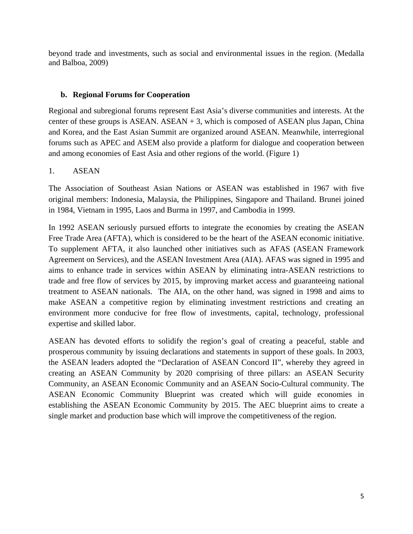beyond trade and investments, such as social and environmental issues in the region. (Medalla and Balboa, 2009)

## **b. Regional Forums for Cooperation**

Regional and subregional forums represent East Asia's diverse communities and interests. At the center of these groups is ASEAN. ASEAN  $+$  3, which is composed of ASEAN plus Japan, China and Korea, and the East Asian Summit are organized around ASEAN. Meanwhile, interregional forums such as APEC and ASEM also provide a platform for dialogue and cooperation between and among economies of East Asia and other regions of the world. (Figure 1)

### 1. ASEAN

The Association of Southeast Asian Nations or ASEAN was established in 1967 with five original members: Indonesia, Malaysia, the Philippines, Singapore and Thailand. Brunei joined in 1984, Vietnam in 1995, Laos and Burma in 1997, and Cambodia in 1999.

In 1992 ASEAN seriously pursued efforts to integrate the economies by creating the ASEAN Free Trade Area (AFTA), which is considered to be the heart of the ASEAN economic initiative. To supplement AFTA, it also launched other initiatives such as AFAS (ASEAN Framework Agreement on Services), and the ASEAN Investment Area (AIA). AFAS was signed in 1995 and aims to enhance trade in services within ASEAN by eliminating intra-ASEAN restrictions to trade and free flow of services by 2015, by improving market access and guaranteeing national treatment to ASEAN nationals. The AIA, on the other hand, was signed in 1998 and aims to make ASEAN a competitive region by eliminating investment restrictions and creating an environment more conducive for free flow of investments, capital, technology, professional expertise and skilled labor.

ASEAN has devoted efforts to solidify the region's goal of creating a peaceful, stable and prosperous community by issuing declarations and statements in support of these goals. In 2003, the ASEAN leaders adopted the "Declaration of ASEAN Concord II", whereby they agreed in creating an ASEAN Community by 2020 comprising of three pillars: an ASEAN Security Community, an ASEAN Economic Community and an ASEAN Socio-Cultural community. The ASEAN Economic Community Blueprint was created which will guide economies in establishing the ASEAN Economic Community by 2015. The AEC blueprint aims to create a single market and production base which will improve the competitiveness of the region.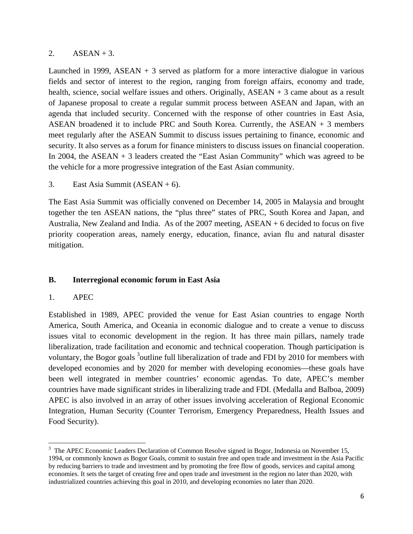#### 2.  $ASEAN + 3$ .

Launched in 1999, ASEAN  $+$  3 served as platform for a more interactive dialogue in various fields and sector of interest to the region, ranging from foreign affairs, economy and trade, health, science, social welfare issues and others. Originally, ASEAN + 3 came about as a result of Japanese proposal to create a regular summit process between ASEAN and Japan, with an agenda that included security. Concerned with the response of other countries in East Asia, ASEAN broadened it to include PRC and South Korea. Currently, the ASEAN + 3 members meet regularly after the ASEAN Summit to discuss issues pertaining to finance, economic and security. It also serves as a forum for finance ministers to discuss issues on financial cooperation. In 2004, the ASEAN  $+$  3 leaders created the "East Asian Community" which was agreed to be the vehicle for a more progressive integration of the East Asian community.

3. East Asia Summit  $(ASEAN + 6)$ .

The East Asia Summit was officially convened on December 14, 2005 in Malaysia and brought together the ten ASEAN nations, the "plus three" states of PRC, South Korea and Japan, and Australia, New Zealand and India. As of the 2007 meeting, ASEAN + 6 decided to focus on five priority cooperation areas, namely energy, education, finance, avian flu and natural disaster mitigation.

## **B. Interregional economic forum in East Asia**

#### 1. APEC

 $\overline{a}$ 

Established in 1989, APEC provided the venue for East Asian countries to engage North America, South America, and Oceania in economic dialogue and to create a venue to discuss issues vital to economic development in the region. It has three main pillars, namely trade liberalization, trade facilitation and economic and technical cooperation. Though participation is voluntary, the Bogor goals <sup>3</sup>outline full liberalization of trade and FDI by 2010 for members with developed economies and by 2020 for member with developing economies—these goals have been well integrated in member countries' economic agendas. To date, APEC's member countries have made significant strides in liberalizing trade and FDI. (Medalla and Balboa, 2009) APEC is also involved in an array of other issues involving acceleration of Regional Economic Integration, Human Security (Counter Terrorism, Emergency Preparedness, Health Issues and Food Security).

<sup>&</sup>lt;sup>3</sup> The APEC Economic Leaders Declaration of Common Resolve signed in Bogor, Indonesia on November 15, 1994, or commonly known as Bogor Goals, commit to sustain free and open trade and investment in the Asia Pacific by reducing barriers to trade and investment and by promoting the free flow of goods, services and capital among economies. It sets the target of creating free and open trade and investment in the region no later than 2020, with industrialized countries achieving this goal in 2010, and developing economies no later than 2020.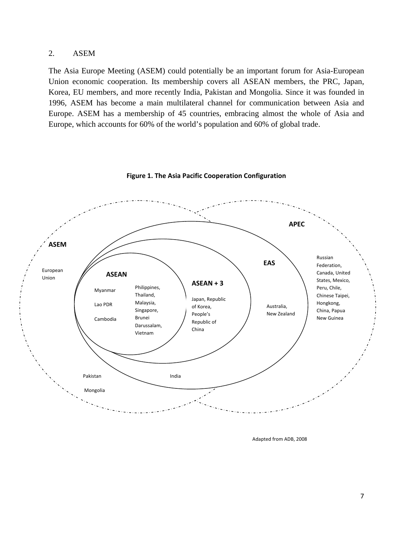#### 2. ASEM

The Asia Europe Meeting (ASEM) could potentially be an important forum for Asia-European Union economic cooperation. Its membership covers all ASEAN members, the PRC, Japan, Korea, EU members, and more recently India, Pakistan and Mongolia. Since it was founded in 1996, ASEM has become a main multilateral channel for communication between Asia and Europe. ASEM has a membership of 45 countries, embracing almost the whole of Asia and Europe, which accounts for 60% of the world's population and 60% of global trade.



**Figure 1. The Asia Pacific Cooperation Configuration** 

Adapted from ADB, 2008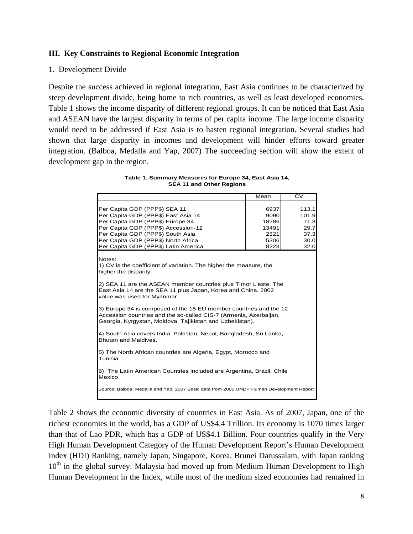#### **III. Key Constraints to Regional Economic Integration**

#### 1. Development Divide

Despite the success achieved in regional integration, East Asia continues to be characterized by steep development divide, being home to rich countries, as well as least developed economies. Table 1 shows the income disparity of different regional groups. It can be noticed that East Asia and ASEAN have the largest disparity in terms of per capita income. The large income disparity would need to be addressed if East Asia is to hasten regional integration. Several studies had shown that large disparity in incomes and development will hinder efforts toward greater integration. (Balboa, Medalla and Yap, 2007) The succeeding section will show the extent of development gap in the region.

| Table 1. Summary Measures for Europe 34, East Asia 14, |  |
|--------------------------------------------------------|--|
| <b>SEA 11 and Other Regions</b>                        |  |

|                                                                                                                                                                                                    | Mean                                                               | $\overline{CV}$ |  |  |  |
|----------------------------------------------------------------------------------------------------------------------------------------------------------------------------------------------------|--------------------------------------------------------------------|-----------------|--|--|--|
|                                                                                                                                                                                                    |                                                                    |                 |  |  |  |
| Per Capita GDP (PPP\$) SEA 11                                                                                                                                                                      | 6937                                                               | 113.1           |  |  |  |
| Per Capita GDP (PPP\$) East Asia 14                                                                                                                                                                | 9090                                                               | 101.9           |  |  |  |
| Per Capita GDP (PPP\$) Europe 34                                                                                                                                                                   | 18286                                                              | 71.3            |  |  |  |
| Per Capita GDP (PPP\$) Accession-12                                                                                                                                                                | 13491                                                              | 29.7            |  |  |  |
| Per Capita GDP (PPP\$) South Asia                                                                                                                                                                  | 2321                                                               | 37.3            |  |  |  |
| Per Capita GDP (PPP\$) North Africa                                                                                                                                                                | 5306                                                               | 30.0            |  |  |  |
| Per Capita GDP (PPP\$) Latin America                                                                                                                                                               | 8223                                                               | 32.0            |  |  |  |
| Notes:<br>higher the disparity.                                                                                                                                                                    | 1) CV is the coefficient of variation. The higher the measure, the |                 |  |  |  |
| 2) SEA 11 are the ASEAN member countries plus Timor L'este. The<br>East Asia 14 are the SEA 11 plus Japan, Korea and China. 2002<br>value was used for Myanmar.                                    |                                                                    |                 |  |  |  |
| 3) Europe 34 is composed of the 15 EU member countries and the 12<br>Accession countries and the so-called CIS-7 (Armenia, Azerbaijan,<br>Georgia, Kyrgystan, Moldova, Tajikistan and Uzbekistan). |                                                                    |                 |  |  |  |
| 4) South Asia covers India, Pakistan, Nepal, Bangladesh, Sri Lanka,<br>Bhutan and Maldives.                                                                                                        |                                                                    |                 |  |  |  |
| 5) The North African countries are Algeria, Egypt, Morocco and<br>Tunisia                                                                                                                          |                                                                    |                 |  |  |  |
| 6) The Latin American Countries included are Argentina, Brazil, Chile<br>Mexico                                                                                                                    |                                                                    |                 |  |  |  |
| Source: Balboa, Medalla and Yap: 2007 Basic data from 2005 UNDP Human Development Report                                                                                                           |                                                                    |                 |  |  |  |

Table 2 shows the economic diversity of countries in East Asia. As of 2007, Japan, one of the richest economies in the world, has a GDP of US\$4.4 Trillion. Its economy is 1070 times larger than that of Lao PDR, which has a GDP of US\$4.1 Billion. Four countries qualify in the Very High Human Development Category of the Human Development Report's Human Development Index (HDI) Ranking, namely Japan, Singapore, Korea, Brunei Darussalam, with Japan ranking  $10<sup>th</sup>$  in the global survey. Malaysia had moved up from Medium Human Development to High Human Development in the Index, while most of the medium sized economies had remained in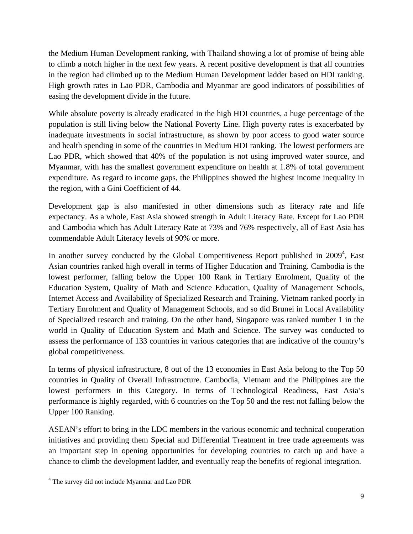the Medium Human Development ranking, with Thailand showing a lot of promise of being able to climb a notch higher in the next few years. A recent positive development is that all countries in the region had climbed up to the Medium Human Development ladder based on HDI ranking. High growth rates in Lao PDR, Cambodia and Myanmar are good indicators of possibilities of easing the development divide in the future.

While absolute poverty is already eradicated in the high HDI countries, a huge percentage of the population is still living below the National Poverty Line. High poverty rates is exacerbated by inadequate investments in social infrastructure, as shown by poor access to good water source and health spending in some of the countries in Medium HDI ranking. The lowest performers are Lao PDR, which showed that 40% of the population is not using improved water source, and Myanmar, with has the smallest government expenditure on health at 1.8% of total government expenditure. As regard to income gaps, the Philippines showed the highest income inequality in the region, with a Gini Coefficient of 44.

Development gap is also manifested in other dimensions such as literacy rate and life expectancy. As a whole, East Asia showed strength in Adult Literacy Rate. Except for Lao PDR and Cambodia which has Adult Literacy Rate at 73% and 76% respectively, all of East Asia has commendable Adult Literacy levels of 90% or more.

In another survey conducted by the Global Competitiveness Report published in 2009<sup>4</sup>, East Asian countries ranked high overall in terms of Higher Education and Training. Cambodia is the lowest performer, falling below the Upper 100 Rank in Tertiary Enrolment, Quality of the Education System, Quality of Math and Science Education, Quality of Management Schools, Internet Access and Availability of Specialized Research and Training. Vietnam ranked poorly in Tertiary Enrolment and Quality of Management Schools, and so did Brunei in Local Availability of Specialized research and training. On the other hand, Singapore was ranked number 1 in the world in Quality of Education System and Math and Science. The survey was conducted to assess the performance of 133 countries in various categories that are indicative of the country's global competitiveness.

In terms of physical infrastructure, 8 out of the 13 economies in East Asia belong to the Top 50 countries in Quality of Overall Infrastructure. Cambodia, Vietnam and the Philippines are the lowest performers in this Category. In terms of Technological Readiness, East Asia's performance is highly regarded, with 6 countries on the Top 50 and the rest not falling below the Upper 100 Ranking.

ASEAN's effort to bring in the LDC members in the various economic and technical cooperation initiatives and providing them Special and Differential Treatment in free trade agreements was an important step in opening opportunities for developing countries to catch up and have a chance to climb the development ladder, and eventually reap the benefits of regional integration.

 $\overline{\phantom{a}}$ <sup>4</sup> The survey did not include Myanmar and Lao PDR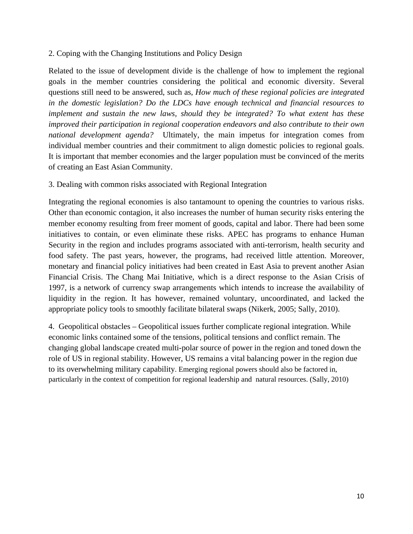#### 2. Coping with the Changing Institutions and Policy Design

Related to the issue of development divide is the challenge of how to implement the regional goals in the member countries considering the political and economic diversity. Several questions still need to be answered, such as, *How much of these regional policies are integrated in the domestic legislation? Do the LDCs have enough technical and financial resources to implement and sustain the new laws, should they be integrated? To what extent has these improved their participation in regional cooperation endeavors and also contribute to their own national development agenda?* Ultimately, the main impetus for integration comes from individual member countries and their commitment to align domestic policies to regional goals. It is important that member economies and the larger population must be convinced of the merits of creating an East Asian Community.

#### 3. Dealing with common risks associated with Regional Integration

Integrating the regional economies is also tantamount to opening the countries to various risks. Other than economic contagion, it also increases the number of human security risks entering the member economy resulting from freer moment of goods, capital and labor. There had been some initiatives to contain, or even eliminate these risks. APEC has programs to enhance Human Security in the region and includes programs associated with anti-terrorism, health security and food safety. The past years, however, the programs, had received little attention. Moreover, monetary and financial policy initiatives had been created in East Asia to prevent another Asian Financial Crisis. The Chang Mai Initiative, which is a direct response to the Asian Crisis of 1997, is a network of currency swap arrangements which intends to increase the availability of liquidity in the region. It has however, remained voluntary, uncoordinated, and lacked the appropriate policy tools to smoothly facilitate bilateral swaps (Nikerk, 2005; Sally, 2010).

4. Geopolitical obstacles – Geopolitical issues further complicate regional integration. While economic links contained some of the tensions, political tensions and conflict remain. The changing global landscape created multi-polar source of power in the region and toned down the role of US in regional stability. However, US remains a vital balancing power in the region due to its overwhelming military capability. Emerging regional powers should also be factored in, particularly in the context of competition for regional leadership and natural resources. (Sally, 2010)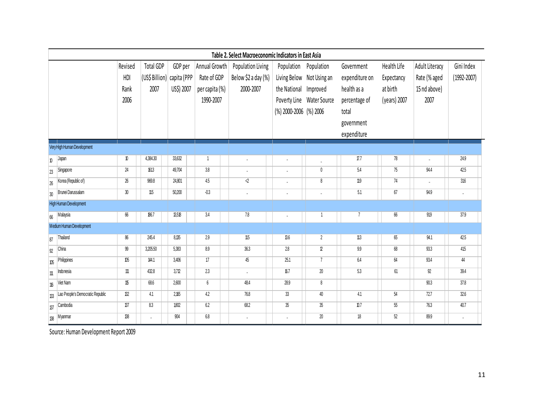|                        | Table 2. Select Macroeconomic Indicators in East Asia |         |                  |             |                 |                     |                        |                           |                |              |                |                 |
|------------------------|-------------------------------------------------------|---------|------------------|-------------|-----------------|---------------------|------------------------|---------------------------|----------------|--------------|----------------|-----------------|
|                        |                                                       | Revised | <b>Total GDP</b> | GDP per     | Annual Growth   | Population Living   |                        | Population Population     | Government     | Health Life  | Adult Literacy | Gini Index      |
|                        |                                                       | HDI     | (US\$ Billion)   | capita (PPP | Rate of GDP     | Below \$2 a day (%) |                        | Living Below Not Using an | expenditure on | Expectancy   | Rate (% aged   | $(1992 - 2007)$ |
|                        |                                                       | Rank    | 2007             | US\$) 2007  | per capita (%)  | 2000-2007           | the National Improved  |                           | health as a    | at birth     | 15 nd above)   |                 |
|                        |                                                       | 2006    |                  |             | 1990-2007       |                     |                        | Poverty Line Water Source | percentage of  | (years) 2007 | 2007           |                 |
|                        |                                                       |         |                  |             |                 |                     | (%) 2000-2006 (%) 2006 |                           | total          |              |                |                 |
|                        |                                                       |         |                  |             |                 |                     |                        |                           | government     |              |                |                 |
|                        |                                                       |         |                  |             |                 |                     |                        |                           | expenditure    |              |                |                 |
|                        | Very High Human Development                           |         |                  |             |                 |                     |                        |                           |                |              |                |                 |
| $\mathbf{v}$           | Japan                                                 | 10      | 4,384.30         | 33,632      | $\mathbf{1}$    | $\cdot$             | $\cdot$                | ä,                        | $\Pi$ .7       | 78           | ä,             | 24.9            |
| 23                     | Singapore                                             | 24      | 1613             | 49,704      | $3.8\,$         | $\cdot$             | ä,                     | $\pmb{0}$                 | 5.4            | 75           | 94.4           | 42.5            |
| 26                     | Korea (Republic of)                                   | 26      | 969.8            | 24,801      | 4.5             | ∢                   | ä,                     | 8                         | 11.9           | 74           | ı.             | 316             |
| 30                     | Brunei Darussalam                                     | 30      | 11.5             | 50,200      | $-0.3$          | $\cdot$             |                        | $\cdot$                   | 5.1            | $67\,$       | 94.9           |                 |
| High Human Development |                                                       |         |                  |             |                 |                     |                        |                           |                |              |                |                 |
| 66                     | Malaysia                                              | 66      | 186.7            | 13,518      | 3.4             | 7.8                 | $\cdot$                | $\overline{1}$            | $\overline{7}$ | 66           | 919            | 37.9            |
|                        | Medium Human Development                              |         |                  |             |                 |                     |                        |                           |                |              |                |                 |
| 87                     | Thailand                                              | 86      | 245.4            | 8,135       | 2.9             | 115                 | $\mathfrak{B}6$        | $\overline{2}$            | 11.3           | 65           | 94.1           | 42.5            |
| 92                     | China                                                 | 99      | 3,205.50         | 5,383       | 8.9             | 36.3                | 2.8                    | $\mathbb{Z}$              | 9.9            | $68\,$       | 93.3           | 415             |
| 105                    | Philippines                                           | 105     | 144.1            | 3,406       | 17              | 45                  | 25.1                   | $\overline{7}$            | 6.4            | 64           | 93.4           | 44              |
| 111                    | Indonesia                                             | 111     | 432.8            | 3,712       | 2.3             | $\blacksquare$      | $f{6.7}$               | 20                        | 5.3            | 61           | 92             | 39.4            |
| 116                    | Viet Nam                                              | 115     | 68.6             | 2,600       | $6\phantom{.0}$ | 48.4                | 28.9                   | 8                         |                |              | 90.3           | 37.8            |
| 133                    | Lao People's Democratic Republic                      | 132     | 4.1              | 2,165       | 4.2             | 76.8                | 33                     | 40                        | 4.1            | 54           | 72.7           | 32.6            |
| 137                    | Cambodia                                              | 137     | 8.3              | 1802        | 62              | 68.2                | 35                     | 35                        | 0.7            | $55\,$       | 76.3           | 40.7            |
| 138                    | Myanmar                                               | 138     | $\cdot$          | 904         | 6.8             | $\cdot$             | $\cdot$                | 20                        | 18             | 52           | 89.9           |                 |

Source: Human Development Report 2009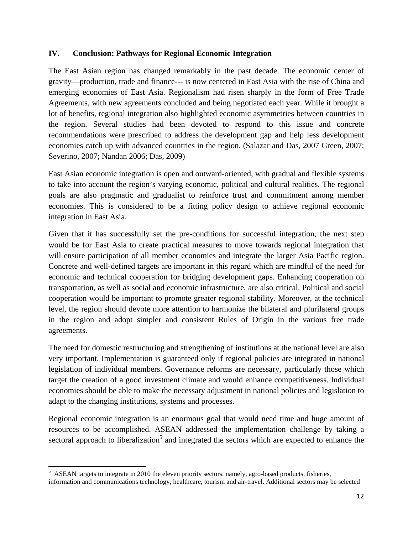#### **IV. Conclusion: Pathways for Regional Economic Integration**

The East Asian region has changed remarkably in the past decade. The economic center of gravity—production, trade and finance--- is now centered in East Asia with the rise of China and emerging economies of East Asia. Regionalism had risen sharply in the form of Free Trade Agreements, with new agreements concluded and being negotiated each year. While it brought a lot of benefits, regional integration also highlighted economic asymmetries between countries in the region. Several studies had been devoted to respond to this issue and concrete recommendations were prescribed to address the development gap and help less development economies catch up with advanced countries in the region. (Salazar and Das, 2007 Green, 2007; Severino, 2007; Nandan 2006; Das, 2009)

East Asian economic integration is open and outward-oriented, with gradual and flexible systems to take into account the region's varying economic, political and cultural realities. The regional goals are also pragmatic and gradualist to reinforce trust and commitment among member economies. This is considered to be a fitting policy design to achieve regional economic integration in East Asia.

Given that it has successfully set the pre-conditions for successful integration, the next step would be for East Asia to create practical measures to move towards regional integration that will ensure participation of all member economies and integrate the larger Asia Pacific region. Concrete and well-defined targets are important in this regard which are mindful of the need for economic and technical cooperation for bridging development gaps. Enhancing cooperation on transportation, as well as social and economic infrastructure, are also critical. Political and social cooperation would be important to promote greater regional stability. Moreover, at the technical level, the region should devote more attention to harmonize the bilateral and plurilateral groups in the region and adopt simpler and consistent Rules of Origin in the various free trade agreements.

The need for domestic restructuring and strengthening of institutions at the national level are also very important. Implementation is guaranteed only if regional policies are integrated in national legislation of individual members. Governance reforms are necessary, particularly those which target the creation of a good investment climate and would enhance competitiveness. Individual economies should be able to make the necessary adjustment in national policies and legislation to adapt to the changing institutions, systems and processes.

Regional economic integration is an enormous goal that would need time and huge amount of resources to be accomplished. ASEAN addressed the implementation challenge by taking a sectoral approach to liberalization<sup>5</sup> and integrated the sectors which are expected to enhance the

<sup>&</sup>lt;sup>5</sup> ASEAN targets to integrate in 2010 the eleven priority sectors, namely, agro-based products, fisheries, information and communications technology, healthcare, tourism and air-travel. Additional sectors may be selected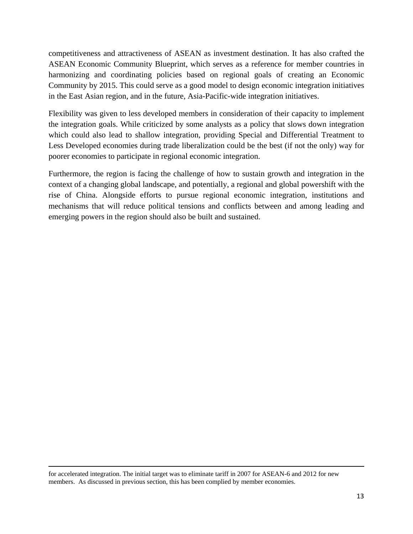competitiveness and attractiveness of ASEAN as investment destination. It has also crafted the ASEAN Economic Community Blueprint, which serves as a reference for member countries in harmonizing and coordinating policies based on regional goals of creating an Economic Community by 2015. This could serve as a good model to design economic integration initiatives in the East Asian region, and in the future, Asia-Pacific-wide integration initiatives.

Flexibility was given to less developed members in consideration of their capacity to implement the integration goals. While criticized by some analysts as a policy that slows down integration which could also lead to shallow integration, providing Special and Differential Treatment to Less Developed economies during trade liberalization could be the best (if not the only) way for poorer economies to participate in regional economic integration.

Furthermore, the region is facing the challenge of how to sustain growth and integration in the context of a changing global landscape, and potentially, a regional and global powershift with the rise of China. Alongside efforts to pursue regional economic integration, institutions and mechanisms that will reduce political tensions and conflicts between and among leading and emerging powers in the region should also be built and sustained.

for accelerated integration. The initial target was to eliminate tariff in 2007 for ASEAN-6 and 2012 for new members. As discussed in previous section, this has been complied by member economies.

 $\overline{a}$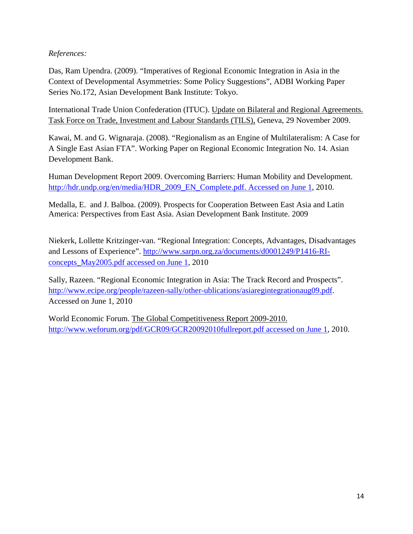## *References:*

Das, Ram Upendra. (2009). "Imperatives of Regional Economic Integration in Asia in the Context of Developmental Asymmetries: Some Policy Suggestions", ADBI Working Paper Series No.172, Asian Development Bank Institute: Tokyo.

International Trade Union Confederation (ITUC). Update on Bilateral and Regional Agreements. Task Force on Trade, Investment and Labour Standards (TILS), Geneva, 29 November 2009.

Kawai, M. and G. Wignaraja. (2008). "Regionalism as an Engine of Multilateralism: A Case for A Single East Asian FTA". Working Paper on Regional Economic Integration No. 14. Asian Development Bank.

Human Development Report 2009. Overcoming Barriers: Human Mobility and Development. http://hdr.undp.org/en/media/HDR\_2009\_EN\_Complete.pdf. Accessed on June 1, 2010.

Medalla, E. and J. Balboa. (2009). Prospects for Cooperation Between East Asia and Latin America: Perspectives from East Asia. Asian Development Bank Institute. 2009

Niekerk, Lollette Kritzinger-van. "Regional Integration: Concepts, Advantages, Disadvantages and Lessons of Experience". http://www.sarpn.org.za/documents/d0001249/P1416-RIconcepts\_May2005.pdf accessed on June 1, 2010

Sally, Razeen. "Regional Economic Integration in Asia: The Track Record and Prospects". http://www.ecipe.org/people/razeen-sally/other-ublications/asiaregintegrationaug09.pdf. Accessed on June 1, 2010

World Economic Forum. The Global Competitiveness Report 2009-2010. http://www.weforum.org/pdf/GCR09/GCR20092010fullreport.pdf accessed on June 1, 2010.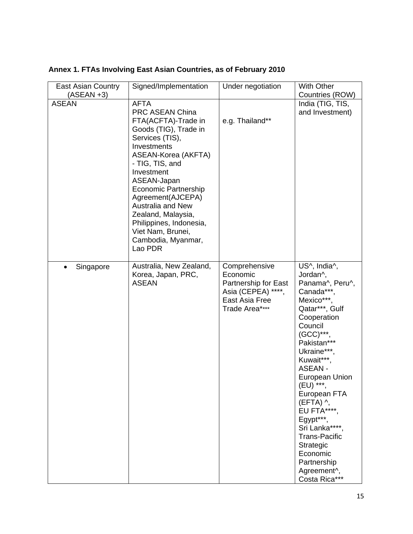| <b>East Asian Country</b> | Signed/Implementation                                                                                                                                                                                                                                                                                                                                                                 | Under negotiation                                                                                           | With Other                                                                                                                                                                                                                                                                                                                                                                                                             |
|---------------------------|---------------------------------------------------------------------------------------------------------------------------------------------------------------------------------------------------------------------------------------------------------------------------------------------------------------------------------------------------------------------------------------|-------------------------------------------------------------------------------------------------------------|------------------------------------------------------------------------------------------------------------------------------------------------------------------------------------------------------------------------------------------------------------------------------------------------------------------------------------------------------------------------------------------------------------------------|
| $(ASEAN +3)$              |                                                                                                                                                                                                                                                                                                                                                                                       |                                                                                                             | Countries (ROW)                                                                                                                                                                                                                                                                                                                                                                                                        |
| <b>ASEAN</b>              | <b>AFTA</b><br><b>PRC ASEAN China</b><br>FTA(ACFTA)-Trade in<br>Goods (TIG), Trade in<br>Services (TIS),<br>Investments<br>ASEAN-Korea (AKFTA)<br>- TIG, TIS, and<br>Investment<br>ASEAN-Japan<br><b>Economic Partnership</b><br>Agreement(AJCEPA)<br><b>Australia and New</b><br>Zealand, Malaysia,<br>Philippines, Indonesia,<br>Viet Nam, Brunei,<br>Cambodia, Myanmar,<br>Lao PDR | e.g. Thailand**                                                                                             | India (TIG, TIS,<br>and Investment)                                                                                                                                                                                                                                                                                                                                                                                    |
| Singapore<br>$\bullet$    | Australia, New Zealand,<br>Korea, Japan, PRC,<br><b>ASEAN</b>                                                                                                                                                                                                                                                                                                                         | Comprehensive<br>Economic<br>Partnership for East<br>Asia (CEPEA) ****,<br>East Asia Free<br>Trade Area**** | US^, India^,<br>Jordan^,<br>Panama^, Peru^,<br>Canada***<br>Mexico***,<br>Qatar***, Gulf<br>Cooperation<br>Council<br>$(GCC)***$<br>Pakistan***<br>Ukraine***,<br>Kuwait***,<br>ASEAN-<br>European Union<br>(EU) ***,<br>European FTA<br>$(EFTA)$ $\wedge$ ,<br>EU FTA****,<br>Egypt***,<br>Sri Lanka****<br><b>Trans-Pacific</b><br>Strategic<br>Economic<br>Partnership<br>Agreement <sup>^</sup> ,<br>Costa Rica*** |

# **Annex 1. FTAs Involving East Asian Countries, as of February 2010**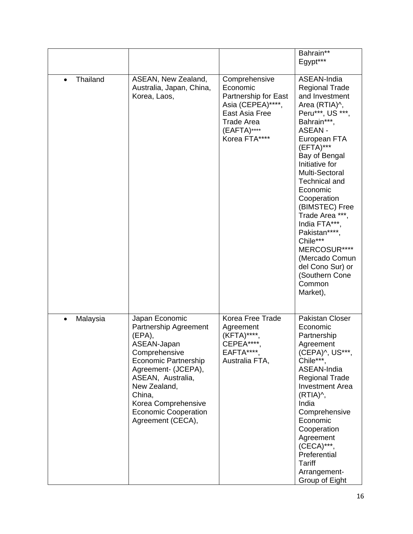|          |                                                                                                                                                                                                                                                                   |                                                                                                                                               | Bahrain**<br>Egypt***                                                                                                                                                                                                                                                                                                                                                                                                                               |
|----------|-------------------------------------------------------------------------------------------------------------------------------------------------------------------------------------------------------------------------------------------------------------------|-----------------------------------------------------------------------------------------------------------------------------------------------|-----------------------------------------------------------------------------------------------------------------------------------------------------------------------------------------------------------------------------------------------------------------------------------------------------------------------------------------------------------------------------------------------------------------------------------------------------|
| Thailand | ASEAN, New Zealand,<br>Australia, Japan, China,<br>Korea, Laos,                                                                                                                                                                                                   | Comprehensive<br>Economic<br>Partnership for East<br>Asia (CEPEA)****,<br>East Asia Free<br><b>Trade Area</b><br>(EAFTA)****<br>Korea FTA**** | ASEAN-India<br><b>Regional Trade</b><br>and Investment<br>Area (RTIA)^,<br>Peru***, US ***,<br>Bahrain***,<br><b>ASEAN-</b><br>European FTA<br>$(EFTA)$ ***<br>Bay of Bengal<br>Initiative for<br>Multi-Sectoral<br><b>Technical and</b><br>Economic<br>Cooperation<br>(BIMSTEC) Free<br>Trade Area ***,<br>India FTA***.<br>Pakistan****<br>Chile***<br>MERCOSUR****<br>(Mercado Comun<br>del Cono Sur) or<br>(Southern Cone<br>Common<br>Market), |
| Malaysia | Japan Economic<br>Partnership Agreement<br>(EPA),<br>ASEAN-Japan<br>Comprehensive<br><b>Economic Partnership</b><br>Agreement- (JCEPA),<br>ASEAN, Australia,<br>New Zealand,<br>China,<br>Korea Comprehensive<br><b>Economic Cooperation</b><br>Agreement (CECA), | Korea Free Trade<br>Agreement<br>(KFTA)****<br>CEPEA****<br>EAFTA****.<br>Australia FTA,                                                      | <b>Pakistan Closer</b><br>Economic<br>Partnership<br>Agreement<br>(CEPA)^, US***,<br>Chile***,<br>ASEAN-India<br><b>Regional Trade</b><br><b>Investment Area</b><br>(RTIA)^,<br>India<br>Comprehensive<br>Economic<br>Cooperation<br>Agreement<br>(CECA)***,<br>Preferential<br>Tariff<br>Arrangement-<br>Group of Eight                                                                                                                            |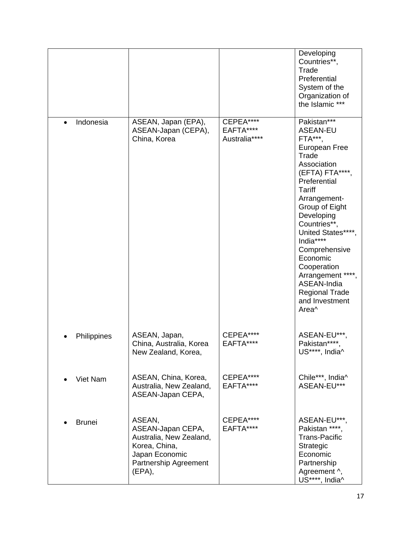|                        |                                                                                                                              |                                         | Developing<br>Countries**,<br>Trade<br>Preferential<br>System of the<br>Organization of<br>the Islamic ***                                                                                                                                                                                                                                                                    |
|------------------------|------------------------------------------------------------------------------------------------------------------------------|-----------------------------------------|-------------------------------------------------------------------------------------------------------------------------------------------------------------------------------------------------------------------------------------------------------------------------------------------------------------------------------------------------------------------------------|
| Indonesia<br>$\bullet$ | ASEAN, Japan (EPA),<br>ASEAN-Japan (CEPA),<br>China, Korea                                                                   | CEPEA****<br>EAFTA****<br>Australia**** | Pakistan***<br><b>ASEAN-EU</b><br>FTA***,<br>European Free<br>Trade<br>Association<br>(EFTA) FTA****,<br>Preferential<br><b>Tariff</b><br>Arrangement-<br>Group of Eight<br>Developing<br>Countries**,<br>United States****,<br>India****<br>Comprehensive<br>Economic<br>Cooperation<br>Arrangement ****,<br>ASEAN-India<br><b>Regional Trade</b><br>and Investment<br>Area^ |
| Philippines            | ASEAN, Japan,<br>China, Australia, Korea<br>New Zealand, Korea,                                                              | CEPEA****<br>EAFTA****                  | ASEAN-EU***,<br>Pakistan****,<br>US****, India <sup><math>\wedge</math></sup>                                                                                                                                                                                                                                                                                                 |
| Viet Nam               | ASEAN, China, Korea,<br>Australia, New Zealand,<br>ASEAN-Japan CEPA,                                                         | CEPEA****<br>EAFTA****                  | Chile***, India^<br>ASEAN-EU***                                                                                                                                                                                                                                                                                                                                               |
| <b>Brunei</b>          | ASEAN,<br>ASEAN-Japan CEPA,<br>Australia, New Zealand,<br>Korea, China,<br>Japan Economic<br>Partnership Agreement<br>(EPA), | CEPEA****<br>EAFTA****                  | ASEAN-EU***,<br>Pakistan ****,<br><b>Trans-Pacific</b><br>Strategic<br>Economic<br>Partnership<br>Agreement ^,<br>US****, India^                                                                                                                                                                                                                                              |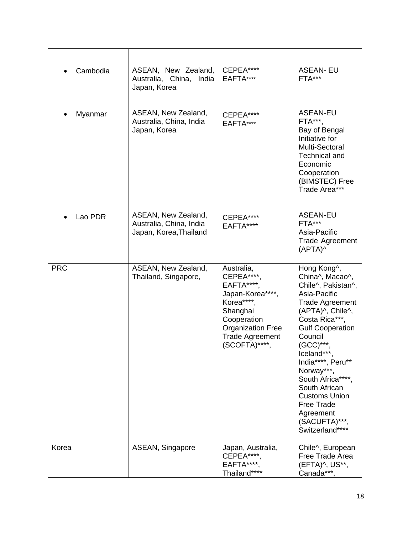| Cambodia   | ASEAN, New Zealand,<br>Australia, China,<br>India<br>Japan, Korea        | CEPEA****<br>EAFTA****                                                                                                                                                     | <b>ASEAN-EU</b><br>FTA***                                                                                                                                                                                                                                                                                                                                                    |
|------------|--------------------------------------------------------------------------|----------------------------------------------------------------------------------------------------------------------------------------------------------------------------|------------------------------------------------------------------------------------------------------------------------------------------------------------------------------------------------------------------------------------------------------------------------------------------------------------------------------------------------------------------------------|
| Myanmar    | ASEAN, New Zealand,<br>Australia, China, India<br>Japan, Korea           | CEPEA****<br>EAFTA****                                                                                                                                                     | <b>ASEAN-EU</b><br>FTA***.<br>Bay of Bengal<br>Initiative for<br>Multi-Sectoral<br>Technical and<br>Economic<br>Cooperation<br>(BIMSTEC) Free<br>Trade Area***                                                                                                                                                                                                               |
| Lao PDR    | ASEAN, New Zealand,<br>Australia, China, India<br>Japan, Korea, Thailand | CEPEA****<br>EAFTA****                                                                                                                                                     | <b>ASEAN-EU</b><br>FTA***<br>Asia-Pacific<br>Trade Agreement<br>(APTA)^                                                                                                                                                                                                                                                                                                      |
| <b>PRC</b> | ASEAN, New Zealand,<br>Thailand, Singapore,                              | Australia,<br>CEPEA****,<br>EAFTA****.<br>Japan-Korea****,<br>Korea****,<br>Shanghai<br>Cooperation<br><b>Organization Free</b><br><b>Trade Agreement</b><br>(SCOFTA)****, | Hong Kong^,<br>China^, Macao^,<br>Chile^, Pakistan^,<br>Asia-Pacific<br><b>Trade Agreement</b><br>(APTA)^, Chile^,<br>Costa Rica***,<br><b>Gulf Cooperation</b><br>Council<br>(GCC)***,<br>Iceland***,<br>India****, Peru**<br>Norway***<br>South Africa****,<br>South African<br><b>Customs Union</b><br><b>Free Trade</b><br>Agreement<br>(SACUFTA)***,<br>Switzerland**** |
| Korea      | ASEAN, Singapore                                                         | Japan, Australia,<br>CEPEA****,<br>EAFTA****,<br>Thailand****                                                                                                              | Chile^, European<br>Free Trade Area<br>(EFTA)^, US**,<br>Canada***                                                                                                                                                                                                                                                                                                           |